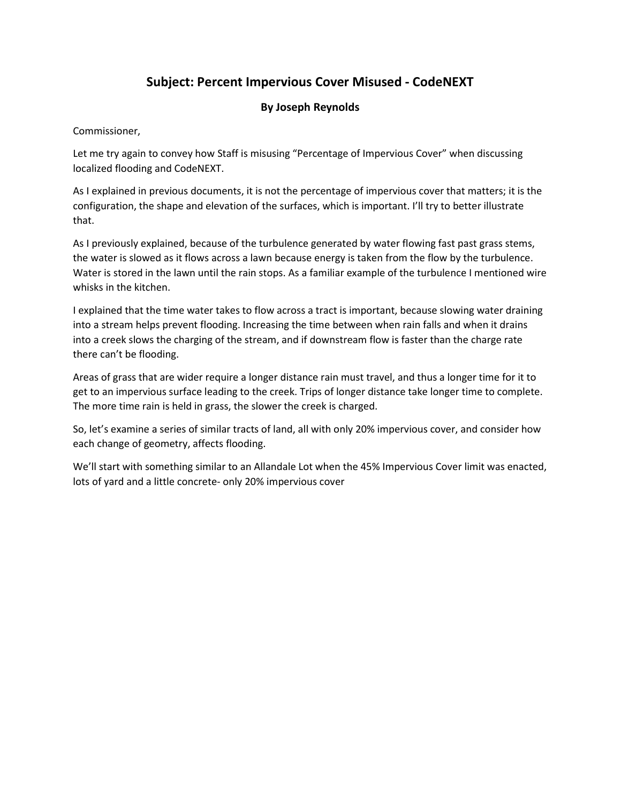## Subject: Percent Impervious Cover Misused - CodeNEXT

## By Joseph Reynolds

Commissioner,

Let me try again to convey how Staff is misusing "Percentage of Impervious Cover" when discussing localized flooding and CodeNEXT.

As I explained in previous documents, it is not the percentage of impervious cover that matters; it is the configuration, the shape and elevation of the surfaces, which is important. I'll try to better illustrate that.

As I previously explained, because of the turbulence generated by water flowing fast past grass stems, the water is slowed as it flows across a lawn because energy is taken from the flow by the turbulence. Water is stored in the lawn until the rain stops. As a familiar example of the turbulence I mentioned wire whisks in the kitchen.

I explained that the time water takes to flow across a tract is important, because slowing water draining into a stream helps prevent flooding. Increasing the time between when rain falls and when it drains into a creek slows the charging of the stream, and if downstream flow is faster than the charge rate there can't be flooding.

Areas of grass that are wider require a longer distance rain must travel, and thus a longer time for it to get to an impervious surface leading to the creek. Trips of longer distance take longer time to complete. The more time rain is held in grass, the slower the creek is charged.

So, let's examine a series of similar tracts of land, all with only 20% impervious cover, and consider how each change of geometry, affects flooding.

We'll start with something similar to an Allandale Lot when the 45% Impervious Cover limit was enacted, lots of yard and a little concrete- only 20% impervious cover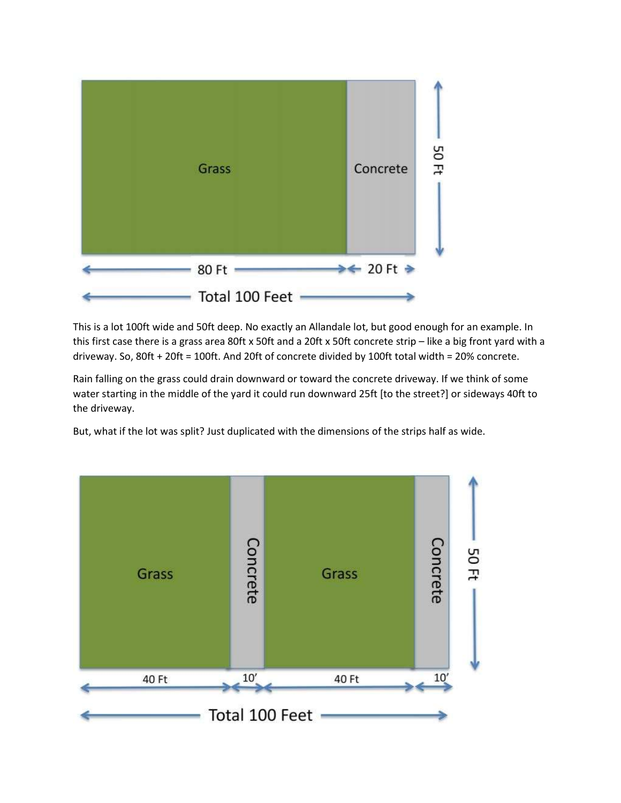

This is a lot 100ft wide and 50ft deep. No exactly an Allandale lot, but good enough for an example. In this first case there is a grass area 80ft x 50ft and a 20ft x 50ft concrete strip - like a big front yard with a driveway. So, 80ft + 20ft = 100ft. And 20ft of concrete divided by 100ft total width = 20% concrete.

Rain falling on the grass could drain downward or toward the concrete driveway. If we think of some water starting in the middle of the yard it could run downward 25ft [to the street?] or sideways 40ft to the driveway.

But, what if the lot was split? Just duplicated with the dimensions of the strips half as wide.

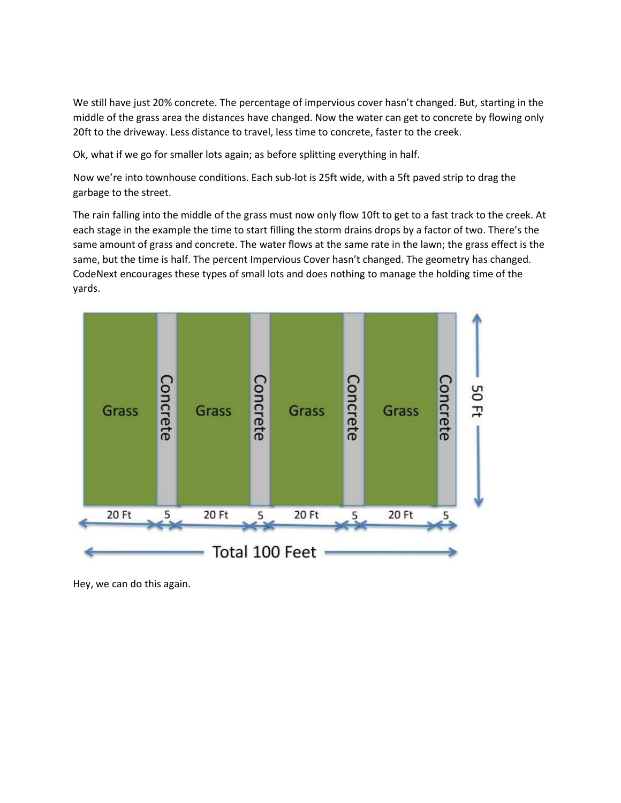We still have just 20% concrete. The percentage of impervious cover hasn't changed. But, starting in the middle of the grass area the distances have changed. Now the water can get to concrete by flowing only 20ft to the driveway. Less distance to travel, less time to concrete, faster to the creek.

Ok, what if we go for smaller lots again; as before splitting everything in half.

Now we're into townhouse conditions. Each sub-lot is 25ft wide, with a 5ft paved strip to drag the garbage to the street.

The rain falling into the middle of the grass must now only flow 10ft to get to a fast track to the creek. At each stage in the example the time to start filling the storm drains drops by a factor of two. There's the same amount of grass and concrete. The water flows at the same rate in the lawn; the grass effect is the same, but the time is half. The percent Impervious Cover hasn't changed. The geometry has changed. CodeNext encourages these types of small lots and does nothing to manage the holding time of the yards.



Hey, we can do this again.